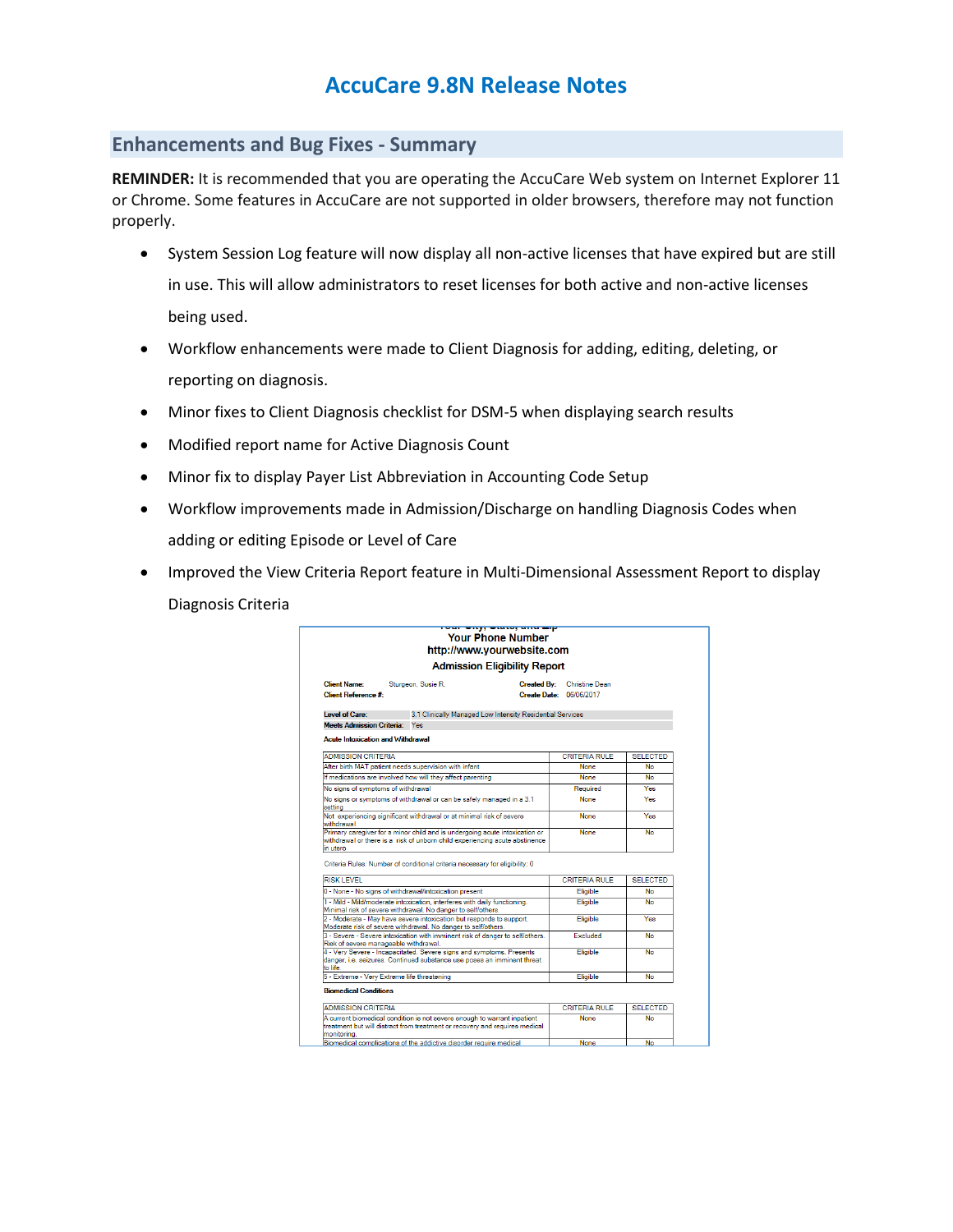## **AccuCare 9.8N Release Notes**

## **Enhancements and Bug Fixes - Summary**

**REMINDER:** It is recommended that you are operating the AccuCare Web system on Internet Explorer 11 or Chrome. Some features in AccuCare are not supported in older browsers, therefore may not function properly.

- System Session Log feature will now display all non-active licenses that have expired but are still in use. This will allow administrators to reset licenses for both active and non-active licenses being used.
- Workflow enhancements were made to Client Diagnosis for adding, editing, deleting, or reporting on diagnosis.
- Minor fixes to Client Diagnosis checklist for DSM-5 when displaying search results
- Modified report name for Active Diagnosis Count
- Minor fix to display Payer List Abbreviation in Accounting Code Setup
- Workflow improvements made in Admission/Discharge on handling Diagnosis Codes when adding or editing Episode or Level of Care
- Improved the View Criteria Report feature in Multi-Dimensional Assessment Report to display Diagnosis Criteria

|                                                                                                                                                                                                                                                                                                                                                                                                                                                                                                                                                                                                                                                                                                                      |                                                                                                                                                            | <u>toar engi ewici, ana sip</u><br><b>Your Phone Number</b><br>http://www.vourwebsite.com |                                                  |                 |  |
|----------------------------------------------------------------------------------------------------------------------------------------------------------------------------------------------------------------------------------------------------------------------------------------------------------------------------------------------------------------------------------------------------------------------------------------------------------------------------------------------------------------------------------------------------------------------------------------------------------------------------------------------------------------------------------------------------------------------|------------------------------------------------------------------------------------------------------------------------------------------------------------|-------------------------------------------------------------------------------------------|--------------------------------------------------|-----------------|--|
| <b>Admission Eligibility Report</b>                                                                                                                                                                                                                                                                                                                                                                                                                                                                                                                                                                                                                                                                                  |                                                                                                                                                            |                                                                                           |                                                  |                 |  |
| <b>Client Name:</b><br><b>Client Reference #:</b>                                                                                                                                                                                                                                                                                                                                                                                                                                                                                                                                                                                                                                                                    | Sturgeon, Susie R.                                                                                                                                         | <b>Created By:</b>                                                                        | <b>Christine Dean</b><br>Create Date: 06/06/2017 |                 |  |
| Level of Care:                                                                                                                                                                                                                                                                                                                                                                                                                                                                                                                                                                                                                                                                                                       | 3.1 Clinically Managed Low Intensity Residential Services                                                                                                  |                                                                                           |                                                  |                 |  |
| <b>Meets Admission Criteria:</b>                                                                                                                                                                                                                                                                                                                                                                                                                                                                                                                                                                                                                                                                                     | Yes                                                                                                                                                        |                                                                                           |                                                  |                 |  |
| <b>Acute Intoxication and Withdrawal</b>                                                                                                                                                                                                                                                                                                                                                                                                                                                                                                                                                                                                                                                                             |                                                                                                                                                            |                                                                                           |                                                  |                 |  |
| <b>ADMISSION CRITERIA</b>                                                                                                                                                                                                                                                                                                                                                                                                                                                                                                                                                                                                                                                                                            |                                                                                                                                                            |                                                                                           | <b>CRITERIA RULE</b>                             | <b>SELECTED</b> |  |
| After birth MAT patient needs supervision with infant                                                                                                                                                                                                                                                                                                                                                                                                                                                                                                                                                                                                                                                                |                                                                                                                                                            |                                                                                           | None                                             | <b>No</b>       |  |
|                                                                                                                                                                                                                                                                                                                                                                                                                                                                                                                                                                                                                                                                                                                      | If medications are involved how will they affect parenting                                                                                                 |                                                                                           | None                                             | <b>No</b>       |  |
| No signs of symptoms of withdrawal                                                                                                                                                                                                                                                                                                                                                                                                                                                                                                                                                                                                                                                                                   |                                                                                                                                                            |                                                                                           | Required                                         | <b>Yes</b>      |  |
| setting                                                                                                                                                                                                                                                                                                                                                                                                                                                                                                                                                                                                                                                                                                              | No signs or symptoms of withdrawal or can be safely managed in a 3.1                                                                                       |                                                                                           | None                                             | Yes             |  |
| withdrawal                                                                                                                                                                                                                                                                                                                                                                                                                                                                                                                                                                                                                                                                                                           | Not experiencing significant withdrawal or at minimal risk of severe                                                                                       |                                                                                           | None                                             | Yes             |  |
| in utero                                                                                                                                                                                                                                                                                                                                                                                                                                                                                                                                                                                                                                                                                                             | Primary caregiver for a minor child and is undergoing acute intoxication or<br>withdrawal or there is a risk of unborn child experiencing acute abstinence |                                                                                           | None                                             | <b>No</b>       |  |
|                                                                                                                                                                                                                                                                                                                                                                                                                                                                                                                                                                                                                                                                                                                      | Criteria Rules: Number of conditional criteria necessary for eligibility: 0                                                                                |                                                                                           |                                                  |                 |  |
| <b>RISK LEVEL</b>                                                                                                                                                                                                                                                                                                                                                                                                                                                                                                                                                                                                                                                                                                    |                                                                                                                                                            |                                                                                           | <b>CRITERIA RULE</b>                             | <b>SELECTED</b> |  |
| 0 - None - No signs of withdrawal/intoxication present                                                                                                                                                                                                                                                                                                                                                                                                                                                                                                                                                                                                                                                               |                                                                                                                                                            |                                                                                           | Eligible                                         | <b>No</b>       |  |
| 1 - Mild - Mild/moderate intoxication, interferes with daily functioning.                                                                                                                                                                                                                                                                                                                                                                                                                                                                                                                                                                                                                                            |                                                                                                                                                            |                                                                                           |                                                  |                 |  |
|                                                                                                                                                                                                                                                                                                                                                                                                                                                                                                                                                                                                                                                                                                                      | Minimal risk of severe withdrawal. No danger to self/others.                                                                                               |                                                                                           | Eligible                                         | <b>No</b>       |  |
|                                                                                                                                                                                                                                                                                                                                                                                                                                                                                                                                                                                                                                                                                                                      |                                                                                                                                                            |                                                                                           | Eligible                                         | Yes             |  |
|                                                                                                                                                                                                                                                                                                                                                                                                                                                                                                                                                                                                                                                                                                                      |                                                                                                                                                            |                                                                                           | Excluded                                         | <b>No</b>       |  |
|                                                                                                                                                                                                                                                                                                                                                                                                                                                                                                                                                                                                                                                                                                                      |                                                                                                                                                            |                                                                                           | Eligible                                         | <b>No</b>       |  |
|                                                                                                                                                                                                                                                                                                                                                                                                                                                                                                                                                                                                                                                                                                                      |                                                                                                                                                            |                                                                                           | Eligible                                         | No              |  |
|                                                                                                                                                                                                                                                                                                                                                                                                                                                                                                                                                                                                                                                                                                                      |                                                                                                                                                            |                                                                                           |                                                  |                 |  |
|                                                                                                                                                                                                                                                                                                                                                                                                                                                                                                                                                                                                                                                                                                                      |                                                                                                                                                            |                                                                                           | <b>CRITERIA RULE</b>                             | <b>SELECTED</b> |  |
| 2 - Moderate - May have severe intoxication but responds to support.<br>Moderate risk of severe withdrawal. No danger to self/others.<br>3 - Severe - Severe intoxication with imminent risk of danger to self/others.<br>Risk of severe manageable withdrawal.<br>4 - Very Severe - Incapacitated. Severe signs and symptoms. Presents<br>danger, i.e. seizures. Continued substance use poses an imminent threat<br>to life.<br>5 - Extreme - Very Extreme life threatening<br><b>Biomedical Conditions</b><br><b>ADMISSION CRITERIA</b><br>A current biomedical condition is not severe enough to warrant inpatient<br>treatment but will distract from treatment or recovery and requires medical<br>monitorina. |                                                                                                                                                            |                                                                                           | None                                             | <b>No</b>       |  |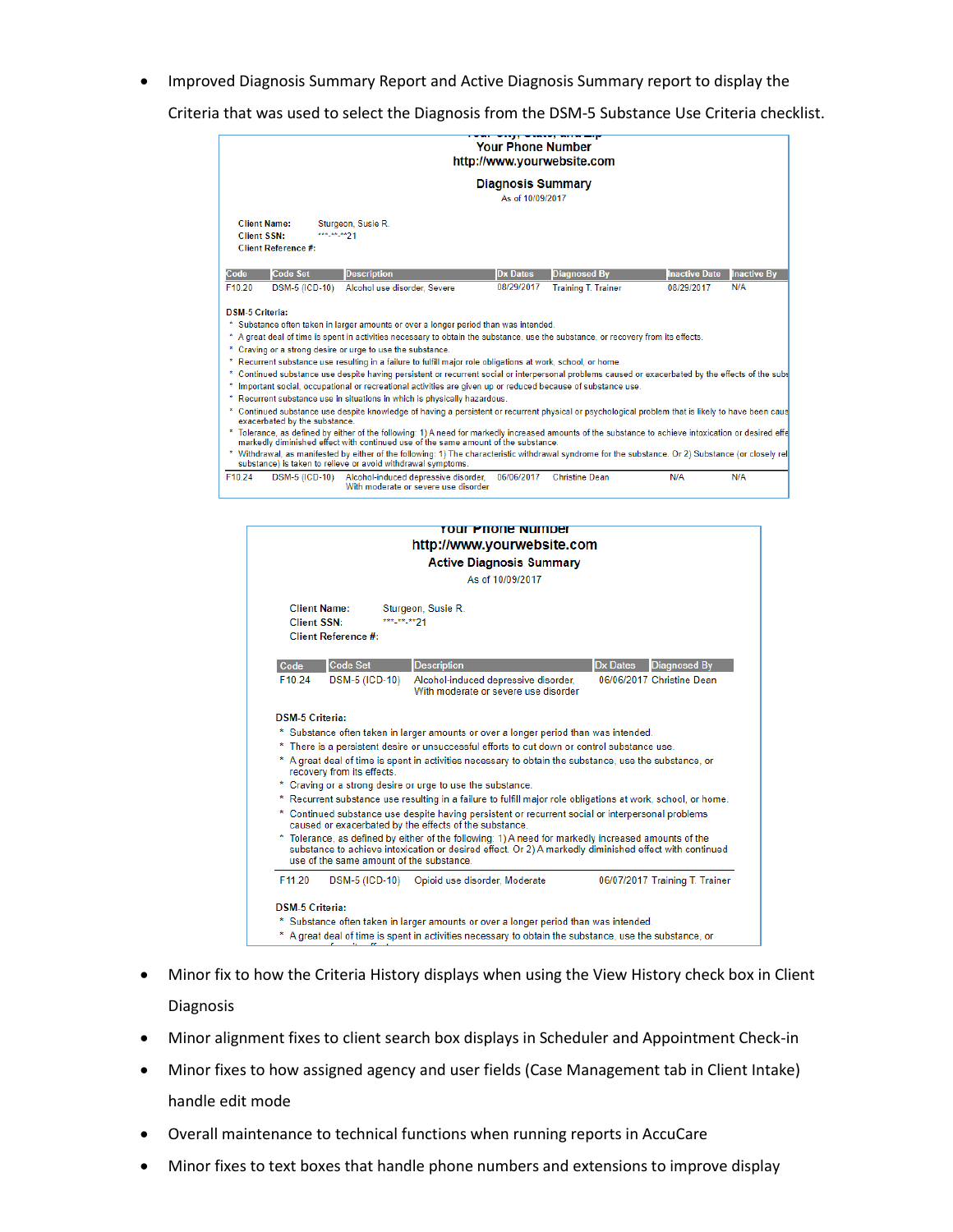Improved Diagnosis Summary Report and Active Diagnosis Summary report to display the

Criteria that was used to select the Diagnosis from the DSM-5 Substance Use Criteria checklist.

|                                           |                               |                                                                                                                                                                                                                                                                                                                                                                                                                                                                                                                                                                                                                                                                                                                                                                                                                                                                                                                                                                                                                                                                                                                                                                                                                                                                                                                                                                                 | <b>Your Phone Number</b>                     | ------ <del>,</del> ---------<br>http://www.yourwebsite.com |                      |                    |
|-------------------------------------------|-------------------------------|---------------------------------------------------------------------------------------------------------------------------------------------------------------------------------------------------------------------------------------------------------------------------------------------------------------------------------------------------------------------------------------------------------------------------------------------------------------------------------------------------------------------------------------------------------------------------------------------------------------------------------------------------------------------------------------------------------------------------------------------------------------------------------------------------------------------------------------------------------------------------------------------------------------------------------------------------------------------------------------------------------------------------------------------------------------------------------------------------------------------------------------------------------------------------------------------------------------------------------------------------------------------------------------------------------------------------------------------------------------------------------|----------------------------------------------|-------------------------------------------------------------|----------------------|--------------------|
|                                           |                               |                                                                                                                                                                                                                                                                                                                                                                                                                                                                                                                                                                                                                                                                                                                                                                                                                                                                                                                                                                                                                                                                                                                                                                                                                                                                                                                                                                                 | <b>Diagnosis Summary</b><br>As of 10/09/2017 |                                                             |                      |                    |
| <b>Client Name:</b><br><b>Client SSN:</b> | Client Reference #:           | Sturgeon, Susie R.<br>*** ** ** 21                                                                                                                                                                                                                                                                                                                                                                                                                                                                                                                                                                                                                                                                                                                                                                                                                                                                                                                                                                                                                                                                                                                                                                                                                                                                                                                                              |                                              |                                                             |                      |                    |
| Code                                      | <b>Code Set</b>               | <b>Description</b>                                                                                                                                                                                                                                                                                                                                                                                                                                                                                                                                                                                                                                                                                                                                                                                                                                                                                                                                                                                                                                                                                                                                                                                                                                                                                                                                                              | <b>Dx Dates</b>                              | <b>Diagnosed By</b>                                         | <b>Inactive Date</b> | <b>Inactive By</b> |
| F10.20                                    | <b>DSM-5 (ICD-10)</b>         | Alcohol use disorder, Severe                                                                                                                                                                                                                                                                                                                                                                                                                                                                                                                                                                                                                                                                                                                                                                                                                                                                                                                                                                                                                                                                                                                                                                                                                                                                                                                                                    | 08/29/2017                                   | <b>Training T. Trainer</b>                                  | 08/29/2017           | N/A                |
| <b>DSM-5 Criteria:</b><br>×               | exacerbated by the substance. | Substance often taken in larger amounts or over a longer period than was intended.<br>* A great deal of time is spent in activities necessary to obtain the substance, use the substance, or recovery from its effects.<br>* Craving or a strong desire or urge to use the substance.<br>* Recurrent substance use resulting in a failure to fulfill major role obligations at work, school, or home.<br>Continued substance use despite having persistent or recurrent social or interpersonal problems caused or exacerbated by the effects of the subs<br>Important social, occupational or recreational activities are given up or reduced because of substance use.<br>Recurrent substance use in situations in which is physically hazardous.<br>* Continued substance use despite knowledge of having a persistent or recurrent physical or psychological problem that is likely to have been caus<br>Tolerance, as defined by either of the following: 1) A need for markedly increased amounts of the substance to achieve intoxication or desired effe<br>markedly diminished effect with continued use of the same amount of the substance.<br>* Withdrawal, as manifested by either of the following: 1) The characteristic withdrawal syndrome for the substance, Or 2) Substance (or closely rela<br>substance) is taken to relieve or avoid withdrawal symptoms. |                                              |                                                             |                      |                    |
| F10.24                                    | <b>DSM-5 (ICD-10)</b>         | Alcohol-induced depressive disorder,<br>With moderate or severe use disorder                                                                                                                                                                                                                                                                                                                                                                                                                                                                                                                                                                                                                                                                                                                                                                                                                                                                                                                                                                                                                                                                                                                                                                                                                                                                                                    | 06/06/2017                                   | <b>Christine Dean</b>                                       | N/A                  | N/A                |



- Minor fix to how the Criteria History displays when using the View History check box in Client Diagnosis
- Minor alignment fixes to client search box displays in Scheduler and Appointment Check-in
- Minor fixes to how assigned agency and user fields (Case Management tab in Client Intake) handle edit mode
- Overall maintenance to technical functions when running reports in AccuCare
- Minor fixes to text boxes that handle phone numbers and extensions to improve display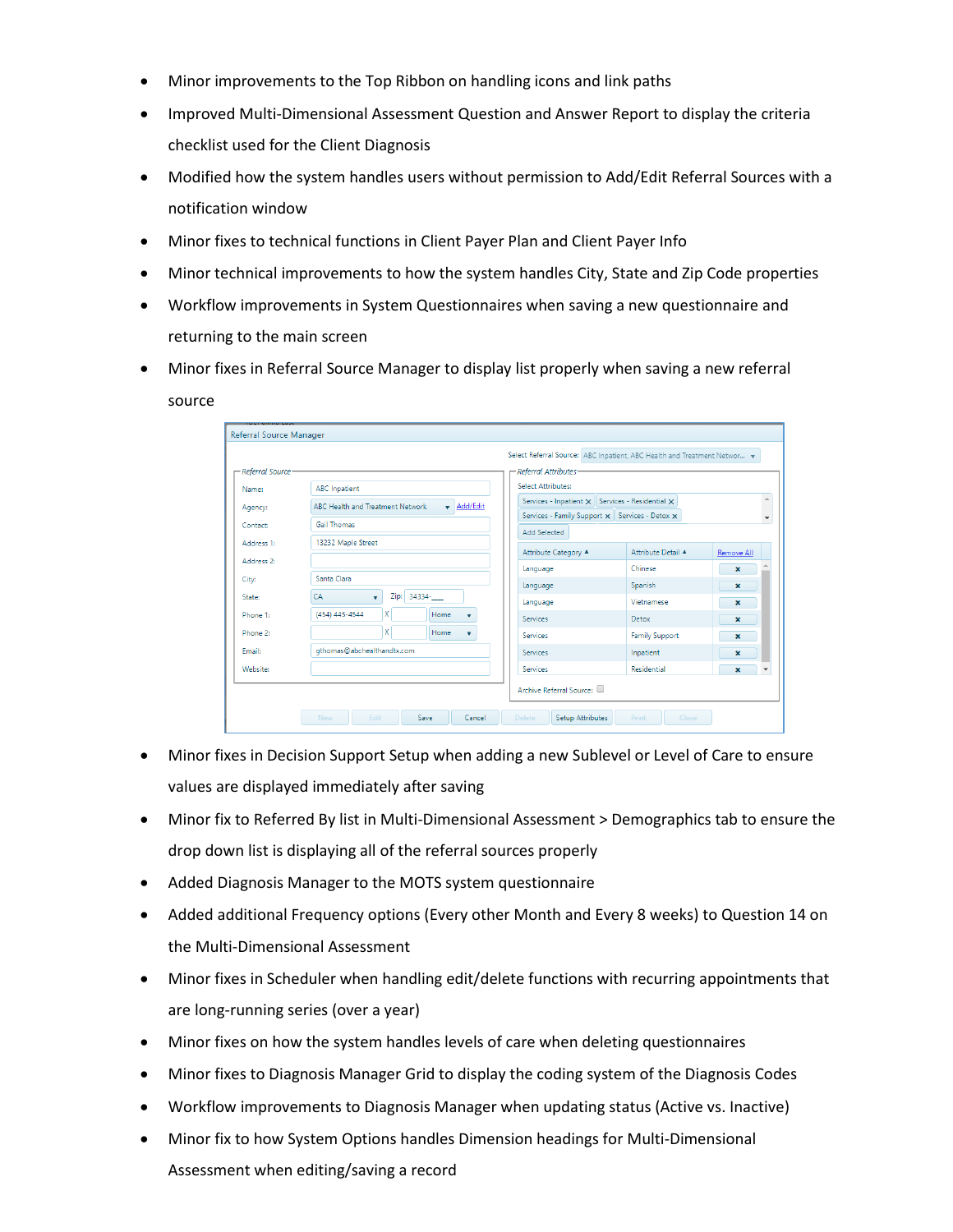- Minor improvements to the Top Ribbon on handling icons and link paths
- Improved Multi-Dimensional Assessment Question and Answer Report to display the criteria checklist used for the Client Diagnosis
- Modified how the system handles users without permission to Add/Edit Referral Sources with a notification window
- Minor fixes to technical functions in Client Payer Plan and Client Payer Info
- Minor technical improvements to how the system handles City, State and Zip Code properties
- Workflow improvements in System Questionnaires when saving a new questionnaire and returning to the main screen
- Minor fixes in Referral Source Manager to display list properly when saving a new referral source

| - Referral Source |                                                                     | - Referral Attributes                                                                                           |                       |             |  |
|-------------------|---------------------------------------------------------------------|-----------------------------------------------------------------------------------------------------------------|-----------------------|-------------|--|
| Name:             | <b>ABC</b> Inpatient                                                | Select Attributes:                                                                                              |                       |             |  |
| Agency:           | Add/Edit<br><b>ABC Health and Treatment Network</b><br>$\mathbf{r}$ | Services - Inpatient $\times$ Services - Residential $\times$<br>Services - Family Support X Services - Detox X |                       |             |  |
| Contact:          | Gail Thomas                                                         | <b>Add Selected</b>                                                                                             |                       |             |  |
| Address 1:        | 13232 Maple Street                                                  | Attribute Category A                                                                                            | Attribute Detail A    | Remove All  |  |
| Address 2:        |                                                                     | Language                                                                                                        | Chinese               | ×           |  |
| City:             | Santa Clara                                                         | Language                                                                                                        | Spanish               | ×           |  |
| State:            | 34334-<br>Zip:<br>CA<br>$\mathbf{v}$                                | Language                                                                                                        | Vietnamese            | $\mathbf x$ |  |
| Phone 1:          | X.<br>(454) 445-4544<br>Home<br>$\mathbf{v}$                        | <b>Services</b>                                                                                                 | Detox                 | $\mathbf x$ |  |
| Phone 2:          | x l<br>Home<br>$\mathbf{v}$                                         | Services                                                                                                        | <b>Family Support</b> | $\mathbf x$ |  |
| Email:            | gthomas@abchealthandtx.com                                          | Services                                                                                                        | Inpatient             | ×           |  |
| Website:          |                                                                     | Services                                                                                                        | Residential           | ×           |  |
|                   |                                                                     | Archive Referral Source:                                                                                        |                       |             |  |

- Minor fixes in Decision Support Setup when adding a new Sublevel or Level of Care to ensure values are displayed immediately after saving
- Minor fix to Referred By list in Multi-Dimensional Assessment > Demographics tab to ensure the drop down list is displaying all of the referral sources properly
- Added Diagnosis Manager to the MOTS system questionnaire
- Added additional Frequency options (Every other Month and Every 8 weeks) to Question 14 on the Multi-Dimensional Assessment
- Minor fixes in Scheduler when handling edit/delete functions with recurring appointments that are long-running series (over a year)
- Minor fixes on how the system handles levels of care when deleting questionnaires
- Minor fixes to Diagnosis Manager Grid to display the coding system of the Diagnosis Codes
- Workflow improvements to Diagnosis Manager when updating status (Active vs. Inactive)
- Minor fix to how System Options handles Dimension headings for Multi-Dimensional Assessment when editing/saving a record